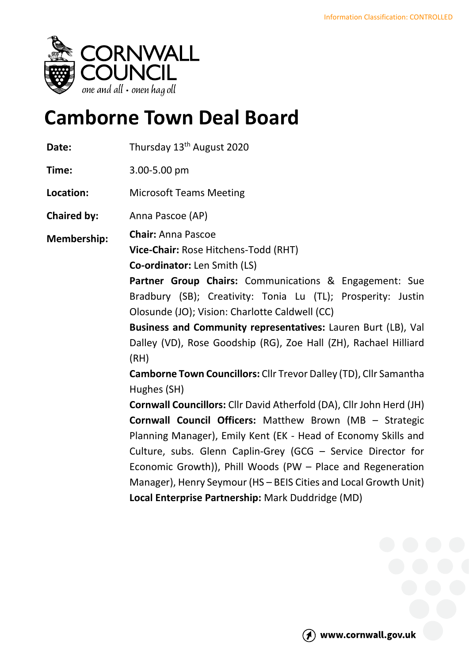

# **Camborne Town Deal Board**

| Date:              | Thursday 13 <sup>th</sup> August 2020                                                                                                                                                                                                                                                                                                                                                                                                                                                                                                                                                                                                                                                                                                                                                                                                                                                                                                                                               |
|--------------------|-------------------------------------------------------------------------------------------------------------------------------------------------------------------------------------------------------------------------------------------------------------------------------------------------------------------------------------------------------------------------------------------------------------------------------------------------------------------------------------------------------------------------------------------------------------------------------------------------------------------------------------------------------------------------------------------------------------------------------------------------------------------------------------------------------------------------------------------------------------------------------------------------------------------------------------------------------------------------------------|
| Time:              | 3.00-5.00 pm                                                                                                                                                                                                                                                                                                                                                                                                                                                                                                                                                                                                                                                                                                                                                                                                                                                                                                                                                                        |
| Location:          | <b>Microsoft Teams Meeting</b>                                                                                                                                                                                                                                                                                                                                                                                                                                                                                                                                                                                                                                                                                                                                                                                                                                                                                                                                                      |
| <b>Chaired by:</b> | Anna Pascoe (AP)                                                                                                                                                                                                                                                                                                                                                                                                                                                                                                                                                                                                                                                                                                                                                                                                                                                                                                                                                                    |
| <b>Membership:</b> | <b>Chair: Anna Pascoe</b><br>Vice-Chair: Rose Hitchens-Todd (RHT)<br>Co-ordinator: Len Smith (LS)<br>Partner Group Chairs: Communications & Engagement: Sue<br>Bradbury (SB); Creativity: Tonia Lu (TL); Prosperity: Justin<br>Olosunde (JO); Vision: Charlotte Caldwell (CC)<br>Business and Community representatives: Lauren Burt (LB), Val<br>Dalley (VD), Rose Goodship (RG), Zoe Hall (ZH), Rachael Hilliard<br>(RH)<br>Camborne Town Councillors: Cllr Trevor Dalley (TD), Cllr Samantha<br>Hughes (SH)<br>Cornwall Councillors: Cllr David Atherfold (DA), Cllr John Herd (JH)<br><b>Cornwall Council Officers:</b> Matthew Brown (MB - Strategic<br>Planning Manager), Emily Kent (EK - Head of Economy Skills and<br>Culture, subs. Glenn Caplin-Grey (GCG - Service Director for<br>Economic Growth)), Phill Woods (PW - Place and Regeneration<br>Manager), Henry Seymour (HS - BEIS Cities and Local Growth Unit)<br>Local Enterprise Partnership: Mark Duddridge (MD) |
|                    |                                                                                                                                                                                                                                                                                                                                                                                                                                                                                                                                                                                                                                                                                                                                                                                                                                                                                                                                                                                     |

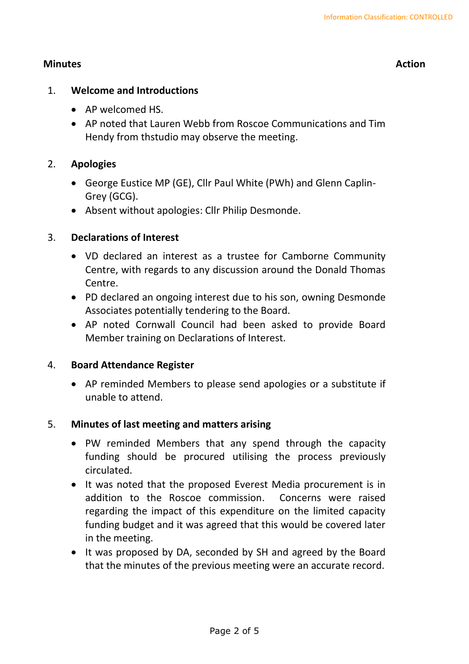## **Minutes Action**

#### 1. **Welcome and Introductions**

- AP welcomed HS.
- AP noted that Lauren Webb from Roscoe Communications and Tim Hendy from thstudio may observe the meeting.

## 2. **Apologies**

- George Eustice MP (GE), Cllr Paul White (PWh) and Glenn Caplin-Grey (GCG).
- Absent without apologies: Cllr Philip Desmonde.

## 3. **Declarations of Interest**

- VD declared an interest as a trustee for Camborne Community Centre, with regards to any discussion around the Donald Thomas Centre.
- PD declared an ongoing interest due to his son, owning Desmonde Associates potentially tendering to the Board.
- AP noted Cornwall Council had been asked to provide Board Member training on Declarations of Interest.

## 4. **Board Attendance Register**

• AP reminded Members to please send apologies or a substitute if unable to attend.

## 5. **Minutes of last meeting and matters arising**

- PW reminded Members that any spend through the capacity funding should be procured utilising the process previously circulated.
- It was noted that the proposed Everest Media procurement is in addition to the Roscoe commission. Concerns were raised regarding the impact of this expenditure on the limited capacity funding budget and it was agreed that this would be covered later in the meeting.
- It was proposed by DA, seconded by SH and agreed by the Board that the minutes of the previous meeting were an accurate record.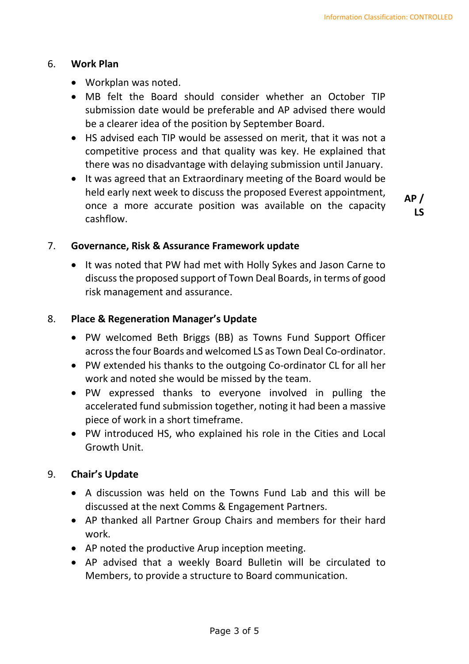## 6. **Work Plan**

- Workplan was noted.
- MB felt the Board should consider whether an October TIP submission date would be preferable and AP advised there would be a clearer idea of the position by September Board.
- HS advised each TIP would be assessed on merit, that it was not a competitive process and that quality was key. He explained that there was no disadvantage with delaying submission until January.
- It was agreed that an Extraordinary meeting of the Board would be held early next week to discuss the proposed Everest appointment, once a more accurate position was available on the capacity cashflow.

**AP / LS**

#### 7. **Governance, Risk & Assurance Framework update**

• It was noted that PW had met with Holly Sykes and Jason Carne to discuss the proposed support of Town Deal Boards, in terms of good risk management and assurance.

## 8. **Place & Regeneration Manager's Update**

- PW welcomed Beth Briggs (BB) as Towns Fund Support Officer across the four Boards and welcomed LS as Town Deal Co-ordinator.
- PW extended his thanks to the outgoing Co-ordinator CL for all her work and noted she would be missed by the team.
- PW expressed thanks to everyone involved in pulling the accelerated fund submission together, noting it had been a massive piece of work in a short timeframe.
- PW introduced HS, who explained his role in the Cities and Local Growth Unit.

## 9. **Chair's Update**

- A discussion was held on the Towns Fund Lab and this will be discussed at the next Comms & Engagement Partners.
- AP thanked all Partner Group Chairs and members for their hard work.
- AP noted the productive Arup inception meeting.
- AP advised that a weekly Board Bulletin will be circulated to Members, to provide a structure to Board communication.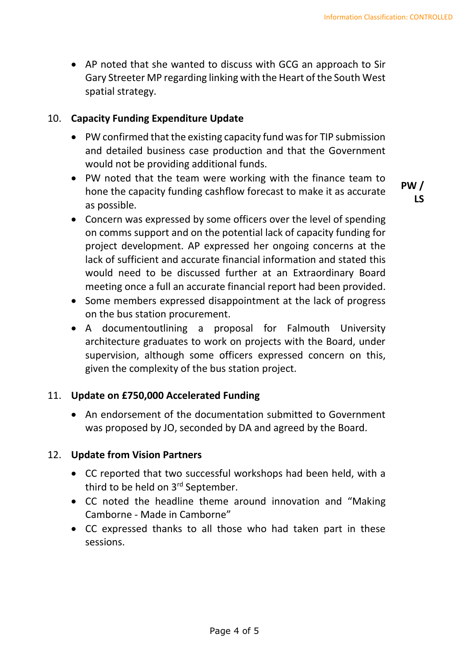• AP noted that she wanted to discuss with GCG an approach to Sir Gary Streeter MP regarding linking with the Heart of the South West spatial strategy.

#### 10. **Capacity Funding Expenditure Update**

- PW confirmed that the existing capacity fund was for TIP submission and detailed business case production and that the Government would not be providing additional funds.
- PW noted that the team were working with the finance team to hone the capacity funding cashflow forecast to make it as accurate as possible.

**PW / LS**

- Concern was expressed by some officers over the level of spending on comms support and on the potential lack of capacity funding for project development. AP expressed her ongoing concerns at the lack of sufficient and accurate financial information and stated this would need to be discussed further at an Extraordinary Board meeting once a full an accurate financial report had been provided.
- Some members expressed disappointment at the lack of progress on the bus station procurement.
- A documentoutlining a proposal for Falmouth University architecture graduates to work on projects with the Board, under supervision, although some officers expressed concern on this, given the complexity of the bus station project.

## 11. **Update on £750,000 Accelerated Funding**

• An endorsement of the documentation submitted to Government was proposed by JO, seconded by DA and agreed by the Board.

## 12. **Update from Vision Partners**

- CC reported that two successful workshops had been held, with a third to be held on 3<sup>rd</sup> September.
- CC noted the headline theme around innovation and "Making Camborne - Made in Camborne"
- CC expressed thanks to all those who had taken part in these sessions.